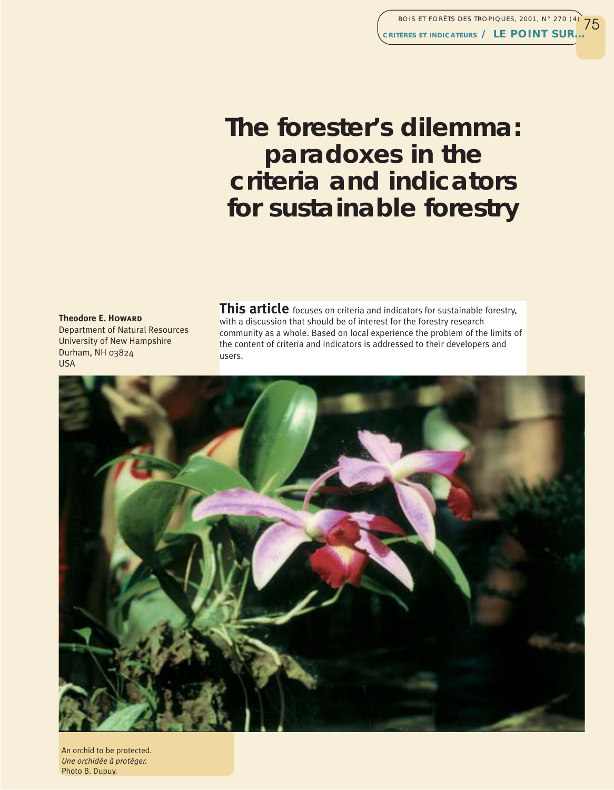BOIS ET FORÊTS DES TROPIQUES, 2001, N° 270 (4) **CRITÈRES ET INDICATEURS / LE POINT SUR…**

# **The forester's dilemma: paradoxes in the criteria and indicators for sustainable forestry**

### **Theodore E. Howard**

Department of Natural Resources University of New Hampshire Durham, NH 03824 USA

**This article** focuses on criteria and indicators for sustainable forestry, with a discussion that should be of interest for the forestry research community as a whole. Based on local experience the problem of the limits of the content of criteria and indicators is addressed to their developers and users.



An orchid to be protected. *Une orchidée à protéger.*  Photo B. Dupuy.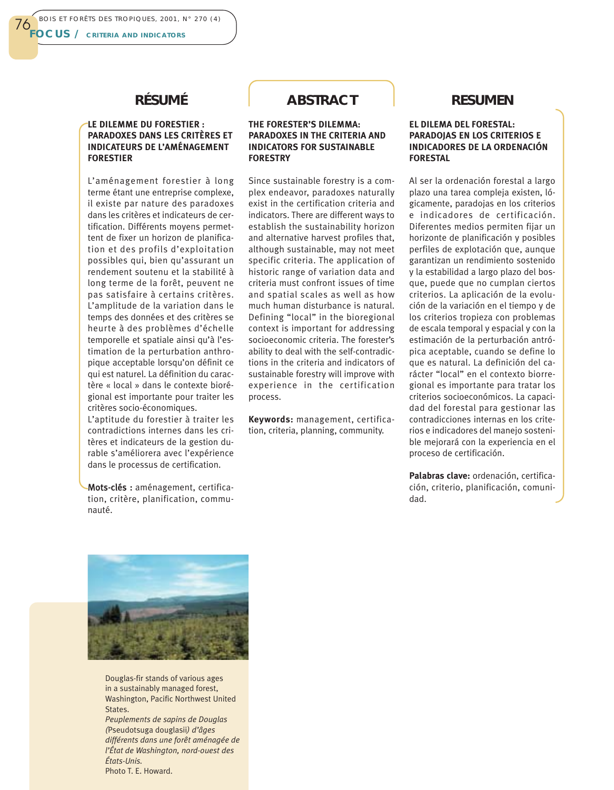### **RÉSUMÉ**

### **LE DILEMME DU FORESTIER : PARADOXES DANS LES CRITÈRES ET INDICATEURS DE L'AMÉNAGEMENT FORESTIER**

L'aménagement forestier à long terme étant une entreprise complexe, il existe par nature des paradoxes dans les critères et indicateurs de certification. Différents moyens permettent de fixer un horizon de planification et des profils d'exploitation possibles qui, bien qu'assurant un rendement soutenu et la stabilité à long terme de la forêt, peuvent ne pas satisfaire à certains critères. L'amplitude de la variation dans le temps des données et des critères se heurte à des problèmes d'échelle temporelle et spatiale ainsi qu'à l'estimation de la perturbation anthropique acceptable lorsqu'on définit ce qui est naturel. La définition du caractère « local » dans le contexte biorégional est importante pour traiter les critères socio-économiques.

L'aptitude du forestier à traiter les contradictions internes dans les critères et indicateurs de la gestion durable s'améliorera avec l'expérience dans le processus de certification.

Mots-clés : aménagement, certification, critère, planification, communauté.

# **ABSTRACT**

### **THE FORESTER'S DILEMMA: PARADOXES IN THE CRITERIA AND INDICATORS FOR SUSTAINABLE FORESTRY**

Since sustainable forestry is a complex endeavor, paradoxes naturally exist in the certification criteria and indicators. There are different ways to establish the sustainability horizon and alternative harvest profiles that, although sustainable, may not meet specific criteria. The application of historic range of variation data and criteria must confront issues of time and spatial scales as well as how much human disturbance is natural. Defining "local" in the bioregional context is important for addressing socioeconomic criteria. The forester's ability to deal with the self-contradictions in the criteria and indicators of sustainable forestry will improve with experience in the certification process.

**Keywords:** management, certification, criteria, planning, community.

### **RESUMEN**

### **EL DILEMA DEL FORESTAL: PARADOJAS EN LOS CRITERIOS E INDICADORES DE LA ORDENACIÓN FORESTAL**

Al ser la ordenación forestal a largo plazo una tarea compleja existen, lógicamente, paradojas en los criterios e indicadores de certificación. Diferentes medios permiten fijar un horizonte de planificación y posibles perfiles de explotación que, aunque garantizan un rendimiento sostenido y la estabilidad a largo plazo del bosque, puede que no cumplan ciertos criterios. La aplicación de la evolución de la variación en el tiempo y de los criterios tropieza con problemas de escala temporal y espacial y con la estimación de la perturbación antrópica aceptable, cuando se define lo que es natural. La definición del carácter "local" en el contexto biorregional es importante para tratar los criterios socioeconómicos. La capacidad del forestal para gestionar las contradicciones internas en los criterios e indicadores del manejo sostenible mejorará con la experiencia en el proceso de certificación.

**Palabras clave:** ordenación, certificación, criterio, planificación, comunidad.



Douglas-fir stands of various ages in a sustainably managed forest, Washington, Pacific Northwest United **States** 

*Peuplements de sapins de Douglas (*Pseudotsuga douglasii*) d'âges différents dans une forêt aménagée de l'État de Washington, nord-ouest des États-Unis.*  Photo T. E. Howard.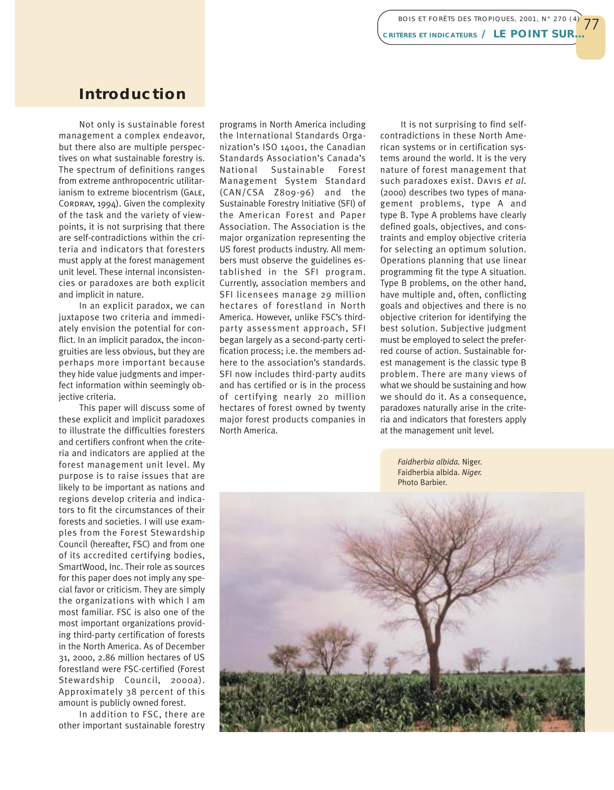# **Introduction**

Not only is sustainable forest management a complex endeavor, but there also are multiple perspectives on what sustainable forestry is. The spectrum of definitions ranges from extreme anthropocentric utilitarianism to extreme biocentrism (Gale, CORDRAY, 1994). Given the complexity of the task and the variety of viewpoints, it is not surprising that there are self-contradictions within the criteria and indicators that foresters must apply at the forest management unit level. These internal inconsistencies or paradoxes are both explicit and implicit in nature.

In an explicit paradox, we can juxtapose two criteria and immediately envision the potential for conflict. In an implicit paradox, the incongruities are less obvious, but they are perhaps more important because they hide value judgments and imperfect information within seemingly objective criteria.

This paper will discuss some of these explicit and implicit paradoxes to illustrate the difficulties foresters and certifiers confront when the criteria and indicators are applied at the forest management unit level. My purpose is to raise issues that are likely to be important as nations and regions develop criteria and indicators to fit the circumstances of their forests and societies. I will use examples from the Forest Stewardship Council (hereafter, FSC) and from one of its accredited certifying bodies, SmartWood, Inc. Their role as sources for this paper does not imply any special favor or criticism. They are simply the organizations with which I am most familiar. FSC is also one of the most important organizations providing third-party certification of forests in the North America. As of December 31, 2000, 2.86 million hectares of US forestland were FSC-certified (Forest Stewardship Council, 2000a). Approximately 38 percent of this amount is publicly owned forest.

In addition to FSC, there are other important sustainable forestry programs in North America including the International Standards Organization's ISO 14001, the Canadian Standards Association's Canada's National Sustainable Forest Management System Standard (CAN/CSA Z809-96) and the Sustainable Forestry Initiative (SFI) of the American Forest and Paper Association. The Association is the major organization representing the US forest products industry. All members must observe the guidelines established in the SFI program. Currently, association members and SFI licensees manage 29 million hectares of forestland in North America. However, unlike FSC's thirdparty assessment approach, SFI began largely as a second-party certification process; i.e. the members adhere to the association's standards. SFI now includes third-party audits and has certified or is in the process of certifying nearly 20 million hectares of forest owned by twenty major forest products companies in North America.

It is not surprising to find selfcontradictions in these North American systems or in certification systems around the world. It is the very nature of forest management that such paradoxes exist. Davis *et al.* (2000) describes two types of management problems, type A and type B. Type A problems have clearly defined goals, objectives, and constraints and employ objective criteria for selecting an optimum solution. Operations planning that use linear programming fit the type A situation. Type B problems, on the other hand, have multiple and, often, conflicting goals and objectives and there is no objective criterion for identifying the best solution. Subjective judgment must be employed to select the preferred course of action. Sustainable forest management is the classic type B problem. There are many views of what we should be sustaining and how we should do it. As a consequence, paradoxes naturally arise in the criteria and indicators that foresters apply at the management unit level.

*Faidherbia albida.* Niger. Faidherbia albida. *Niger.*  Photo Barbier.

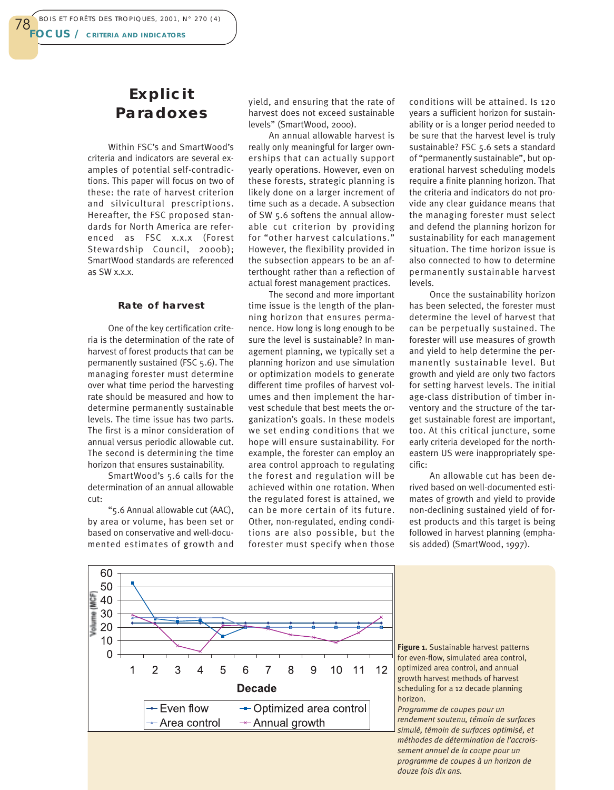# **Explicit Paradoxes**

Within FSC's and SmartWood's criteria and indicators are several examples of potential self-contradictions. This paper will focus on two of these: the rate of harvest criterion and silvicultural prescriptions. Hereafter, the FSC proposed standards for North America are referenced as FSC x.x.x (Forest Stewardship Council, 2000b): SmartWood standards are referenced as SW x.x.x.

### **Rate of harvest**

One of the key certification criteria is the determination of the rate of harvest of forest products that can be permanently sustained (FSC 5.6). The managing forester must determine over what time period the harvesting rate should be measured and how to determine permanently sustainable levels. The time issue has two parts. The first is a minor consideration of annual versus periodic allowable cut. The second is determining the time horizon that ensures sustainability.

SmartWood's 5.6 calls for the determination of an annual allowable cut:

"5.6 Annual allowable cut (AAC), by area or volume, has been set or based on conservative and well-documented estimates of growth and yield, and ensuring that the rate of harvest does not exceed sustainable levels" (SmartWood, 2000).

An annual allowable harvest is really only meaningful for larger ownerships that can actually support yearly operations. However, even on these forests, strategic planning is likely done on a larger increment of time such as a decade. A subsection of SW 5.6 softens the annual allowable cut criterion by providing for "other harvest calculations." However, the flexibility provided in the subsection appears to be an afterthought rather than a reflection of actual forest management practices.

The second and more important time issue is the length of the planning horizon that ensures permanence. How long is long enough to be sure the level is sustainable? In management planning, we typically set a planning horizon and use simulation or optimization models to generate different time profiles of harvest volumes and then implement the harvest schedule that best meets the organization's goals. In these models we set ending conditions that we hope will ensure sustainability. For example, the forester can employ an area control approach to regulating the forest and regulation will be achieved within one rotation. When the regulated forest is attained, we can be more certain of its future. Other, non-regulated, ending conditions are also possible, but the forester must specify when those

conditions will be attained. Is 120 years a sufficient horizon for sustainability or is a longer period needed to be sure that the harvest level is truly sustainable? FSC 5.6 sets a standard of "permanently sustainable", but operational harvest scheduling models require a finite planning horizon. That the criteria and indicators do not provide any clear guidance means that the managing forester must select and defend the planning horizon for sustainability for each management situation. The time horizon issue is also connected to how to determine permanently sustainable harvest levels.

Once the sustainability horizon has been selected, the forester must determine the level of harvest that can be perpetually sustained. The forester will use measures of growth and yield to help determine the permanently sustainable level. But growth and yield are only two factors for setting harvest levels. The initial age-class distribution of timber inventory and the structure of the target sustainable forest are important, too. At this critical juncture, some early criteria developed for the northeastern US were inappropriately specific:

An allowable cut has been derived based on well-documented estimates of growth and yield to provide non-declining sustained yield of forest products and this target is being followed in harvest planning (emphasis added) (SmartWood, 1997).



**Figure 1.** Sustainable harvest patterns for even-flow, simulated area control, optimized area control, and annual growth harvest methods of harvest scheduling for a 12 decade planning horizon.

*Programme de coupes pour un rendement soutenu, témoin de surfaces simulé, témoin de surfaces optimisé, et méthodes de détermination de l'accroissement annuel de la coupe pour un programme de coupes à un horizon de douze fois dix ans.*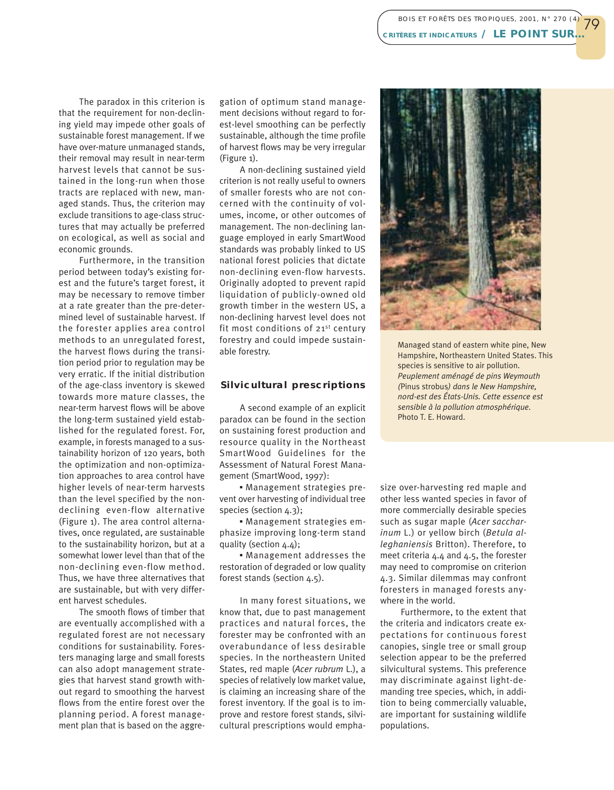The paradox in this criterion is that the requirement for non-declining yield may impede other goals of sustainable forest management. If we have over-mature unmanaged stands, their removal may result in near-term harvest levels that cannot be sustained in the long-run when those tracts are replaced with new, managed stands. Thus, the criterion may exclude transitions to age-class structures that may actually be preferred on ecological, as well as social and economic grounds.

Furthermore, in the transition period between today's existing forest and the future's target forest, it may be necessary to remove timber at a rate greater than the pre-determined level of sustainable harvest. If the forester applies area control methods to an unregulated forest, the harvest flows during the transition period prior to regulation may be very erratic. If the initial distribution of the age-class inventory is skewed towards more mature classes, the near-term harvest flows will be above the long-term sustained yield established for the regulated forest. For, example, in forests managed to a sustainability horizon of 120 years, both the optimization and non-optimization approaches to area control have higher levels of near-term harvests than the level specified by the nondeclining even-flow alternative (Figure 1). The area control alternatives, once regulated, are sustainable to the sustainability horizon, but at a somewhat lower level than that of the non-declining even-flow method. Thus, we have three alternatives that are sustainable, but with very different harvest schedules.

The smooth flows of timber that are eventually accomplished with a regulated forest are not necessary conditions for sustainability. Foresters managing large and small forests can also adopt management strategies that harvest stand growth without regard to smoothing the harvest flows from the entire forest over the planning period. A forest management plan that is based on the aggre-

gation of optimum stand management decisions without regard to forest-level smoothing can be perfectly sustainable, although the time profile of harvest flows may be very irregular (Figure 1).

A non-declining sustained yield criterion is not really useful to owners of smaller forests who are not concerned with the continuity of volumes, income, or other outcomes of management. The non-declining language employed in early SmartWood standards was probably linked to US national forest policies that dictate non-declining even-flow harvests. Originally adopted to prevent rapid liquidation of publicly-owned old growth timber in the western US, a non-declining harvest level does not fit most conditions of 21<sup>st</sup> century forestry and could impede sustainable forestry.

### **Silvicultural prescriptions**

A second example of an explicit paradox can be found in the section on sustaining forest production and resource quality in the Northeast SmartWood Guidelines for the Assessment of Natural Forest Management (SmartWood, 1997):

▪ Management strategies prevent over harvesting of individual tree species (section 4.3);

▪ Management strategies emphasize improving long-term stand quality (section 4.4);

▪ Management addresses the restoration of degraded or low quality forest stands (section 4.5).

In many forest situations, we know that, due to past management practices and natural forces, the forester may be confronted with an overabundance of less desirable species. In the northeastern United States, red maple (*Acer rubrum* L.), a species of relatively low market value, is claiming an increasing share of the forest inventory. If the goal is to improve and restore forest stands, silvicultural prescriptions would empha-



Managed stand of eastern white pine, New Hampshire, Northeastern United States. This species is sensitive to air pollution. *Peuplement aménagé de pins Weymouth (*Pinus strobus*) dans le New Hampshire, nord-est des États-Unis. Cette essence est sensible à la pollution atmosphérique.*  Photo T. E. Howard.

size over-harvesting red maple and other less wanted species in favor of more commercially desirable species such as sugar maple (*Acer saccharinum* L.) or yellow birch (*Betula alleghaniensis* Britton). Therefore, to meet criteria 4.4 and 4.5, the forester may need to compromise on criterion 4.3. Similar dilemmas may confront foresters in managed forests anywhere in the world.

Furthermore, to the extent that the criteria and indicators create expectations for continuous forest canopies, single tree or small group selection appear to be the preferred silvicultural systems. This preference may discriminate against light-demanding tree species, which, in addition to being commercially valuable, are important for sustaining wildlife populations.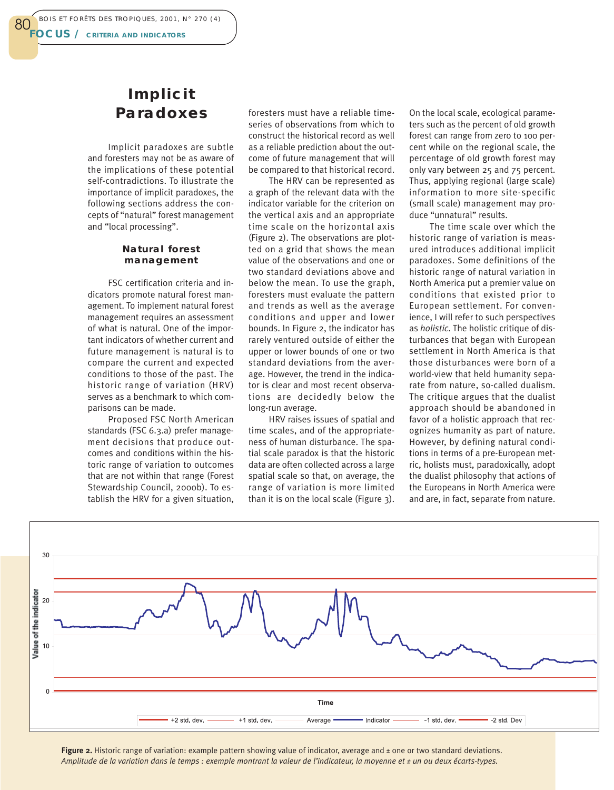# **Implicit Paradoxes**

Implicit paradoxes are subtle and foresters may not be as aware of the implications of these potential self-contradictions. To illustrate the importance of implicit paradoxes, the following sections address the concepts of "natural" forest management and "local processing".

### **Natural forest management**

FSC certification criteria and indicators promote natural forest management. To implement natural forest management requires an assessment of what is natural. One of the important indicators of whether current and future management is natural is to compare the current and expected conditions to those of the past. The historic range of variation (HRV) serves as a benchmark to which comparisons can be made.

Proposed FSC North American standards (FSC 6.3.a) prefer management decisions that produce outcomes and conditions within the historic range of variation to outcomes that are not within that range (Forest Stewardship Council, 2000b). To establish the HRV for a given situation, foresters must have a reliable timeseries of observations from which to construct the historical record as well as a reliable prediction about the outcome of future management that will be compared to that historical record.

The HRV can be represented as a graph of the relevant data with the indicator variable for the criterion on the vertical axis and an appropriate time scale on the horizontal axis (Figure 2). The observations are plotted on a grid that shows the mean value of the observations and one or two standard deviations above and below the mean. To use the graph, foresters must evaluate the pattern and trends as well as the average conditions and upper and lower bounds. In Figure 2, the indicator has rarely ventured outside of either the upper or lower bounds of one or two standard deviations from the average. However, the trend in the indicator is clear and most recent observations are decidedly below the long-run average.

HRV raises issues of spatial and time scales, and of the appropriateness of human disturbance. The spatial scale paradox is that the historic data are often collected across a large spatial scale so that, on average, the range of variation is more limited than it is on the local scale (Figure 3).

On the local scale, ecological parameters such as the percent of old growth forest can range from zero to 100 percent while on the regional scale, the percentage of old growth forest may only vary between 25 and 75 percent. Thus, applying regional (large scale) information to more site-specific (small scale) management may produce "unnatural" results.

The time scale over which the historic range of variation is measured introduces additional implicit paradoxes. Some definitions of the historic range of natural variation in North America put a premier value on conditions that existed prior to European settlement. For convenience, I will refer to such perspectives as *holistic*. The holistic critique of disturbances that began with European settlement in North America is that those disturbances were born of a world-view that held humanity separate from nature, so-called dualism. The critique argues that the dualist approach should be abandoned in favor of a holistic approach that recognizes humanity as part of nature. However, by defining natural conditions in terms of a pre-European metric, holists must, paradoxically, adopt the dualist philosophy that actions of the Europeans in North America were and are, in fact, separate from nature.



**Figure 2.** Historic range of variation: example pattern showing value of indicator, average and ± one or two standard deviations. *Amplitude de la variation dans le temps : exemple montrant la valeur de l'indicateur, la moyenne et ± un ou deux écarts-types.*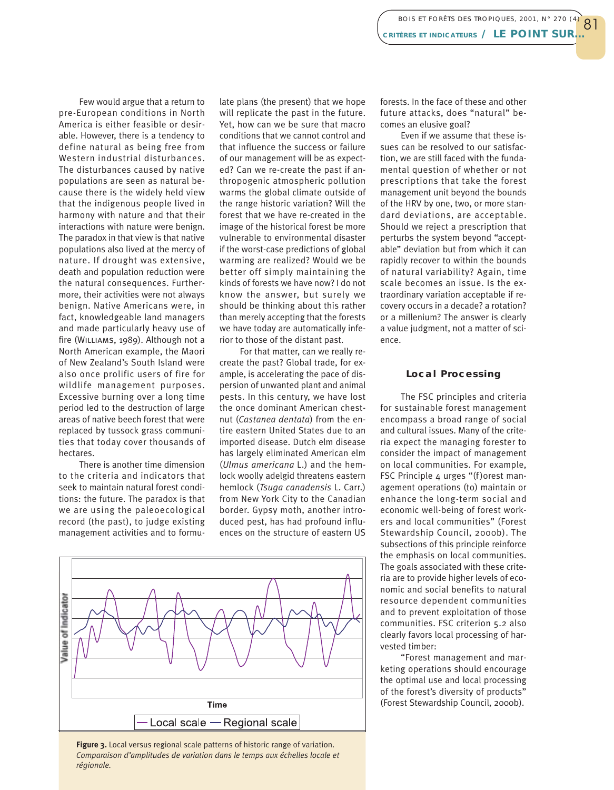Few would argue that a return to pre-European conditions in North America is either feasible or desirable. However, there is a tendency to define natural as being free from Western industrial disturbances. The disturbances caused by native populations are seen as natural because there is the widely held view that the indigenous people lived in harmony with nature and that their interactions with nature were benign. The paradox in that view is that native populations also lived at the mercy of nature. If drought was extensive, death and population reduction were the natural consequences. Furthermore, their activities were not always benign. Native Americans were, in fact, knowledgeable land managers and made particularly heavy use of fire (WILLIAMS, 1989). Although not a North American example, the Maori of New Zealand's South Island were also once prolific users of fire for wildlife management purposes. Excessive burning over a long time period led to the destruction of large areas of native beech forest that were replaced by tussock grass communities that today cover thousands of hectares.

There is another time dimension to the criteria and indicators that seek to maintain natural forest conditions: the future. The paradox is that we are using the paleoecological record (the past), to judge existing management activities and to formu-

late plans (the present) that we hope will replicate the past in the future. Yet, how can we be sure that macro conditions that we cannot control and that influence the success or failure of our management will be as expected? Can we re-create the past if anthropogenic atmospheric pollution warms the global climate outside of the range historic variation? Will the forest that we have re-created in the image of the historical forest be more vulnerable to environmental disaster if the worst-case predictions of global warming are realized? Would we be better off simply maintaining the kinds of forests we have now? I do not know the answer, but surely we should be thinking about this rather than merely accepting that the forests we have today are automatically inferior to those of the distant past.

For that matter, can we really recreate the past? Global trade, for example, is accelerating the pace of dispersion of unwanted plant and animal pests. In this century, we have lost the once dominant American chestnut (*Castanea dentata*) from the entire eastern United States due to an imported disease. Dutch elm disease has largely eliminated American elm (*Ulmus americana* L.) and the hemlock woolly adelgid threatens eastern hemlock (*Tsuga canadensis* L. Carr.) from New York City to the Canadian border. Gypsy moth, another introduced pest, has had profound influences on the structure of eastern US



**Figure 3.** Local versus regional scale patterns of historic range of variation. *Comparaison d'amplitudes de variation dans le temps aux échelles locale et régionale.*

forests. In the face of these and other future attacks, does "natural" becomes an elusive goal?

Even if we assume that these issues can be resolved to our satisfaction, we are still faced with the fundamental question of whether or not prescriptions that take the forest management unit beyond the bounds of the HRV by one, two, or more standard deviations, are acceptable. Should we reject a prescription that perturbs the system beyond "acceptable" deviation but from which it can rapidly recover to within the bounds of natural variability? Again, time scale becomes an issue. Is the extraordinary variation acceptable if recovery occurs in a decade? a rotation? or a millenium? The answer is clearly a value judgment, not a matter of science.

### **Local Processing**

The FSC principles and criteria for sustainable forest management encompass a broad range of social and cultural issues. Many of the criteria expect the managing forester to consider the impact of management on local communities. For example, FSC Principle 4 urges "(f) orest management operations (to) maintain or enhance the long-term social and economic well-being of forest workers and local communities" (Forest Stewardship Council, 2000b). The subsections of this principle reinforce the emphasis on local communities. The goals associated with these criteria are to provide higher levels of economic and social benefits to natural resource dependent communities and to prevent exploitation of those communities. FSC criterion 5.2 also clearly favors local processing of harvested timber:

"Forest management and marketing operations should encourage the optimal use and local processing of the forest's diversity of products" (Forest Stewardship Council, 2000b).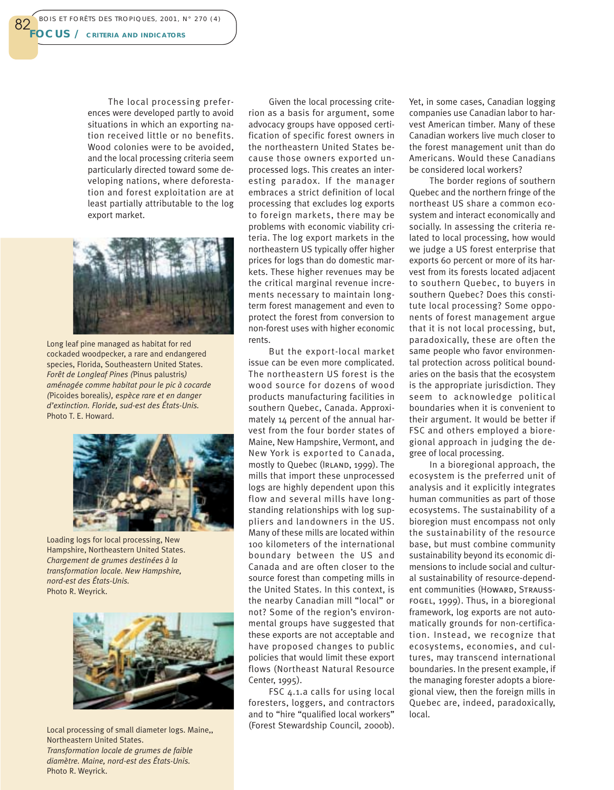The local processing preferences were developed partly to avoid situations in which an exporting nation received little or no benefits. Wood colonies were to be avoided, and the local processing criteria seem particularly directed toward some developing nations, where deforestation and forest exploitation are at least partially attributable to the log export market.



Long leaf pine managed as habitat for red cockaded woodpecker, a rare and endangered species, Florida, Southeastern United States. *Forêt de Longleaf Pines (*Pinus palustris*) aménagée comme habitat pour le pic à cocarde (*Picoides borealis*), espèce rare et en danger d'extinction. Floride, sud-est des États-Unis.*  Photo T. E. Howard.



Loading logs for local processing, New Hampshire, Northeastern United States. *Chargement de grumes destinées à la transformation locale. New Hampshire, nord-est des États-Unis.*  Photo R. Weyrick.



Local processing of small diameter logs. Maine,, Northeastern United States. *Transformation locale de grumes de faible diamètre. Maine, nord-est des États-Unis.*  Photo R. Weyrick.

Given the local processing criterion as a basis for argument, some advocacy groups have opposed certification of specific forest owners in the northeastern United States because those owners exported unprocessed logs. This creates an interesting paradox. If the manager embraces a strict definition of local processing that excludes log exports to foreign markets, there may be problems with economic viability criteria. The log export markets in the northeastern US typically offer higher prices for logs than do domestic markets. These higher revenues may be the critical marginal revenue increments necessary to maintain longterm forest management and even to protect the forest from conversion to non-forest uses with higher economic rents.

But the export-local market issue can be even more complicated. The northeastern US forest is the wood source for dozens of wood products manufacturing facilities in southern Quebec, Canada. Approximately 14 percent of the annual harvest from the four border states of Maine, New Hampshire, Vermont, and New York is exported to Canada, mostly to Quebec (IRLAND, 1999). The mills that import these unprocessed logs are highly dependent upon this flow and several mills have longstanding relationships with log suppliers and landowners in the US. Many of these mills are located within 100 kilometers of the international boundary between the US and Canada and are often closer to the source forest than competing mills in the United States. In this context, is the nearby Canadian mill "local" or not? Some of the region's environmental groups have suggested that these exports are not acceptable and have proposed changes to public policies that would limit these export flows (Northeast Natural Resource Center, 1995).

FSC 4.1.a calls for using local foresters, loggers, and contractors and to "hire "qualified local workers" (Forest Stewardship Council, 2000b).

Yet, in some cases, Canadian logging companies use Canadian labor to harvest American timber. Many of these Canadian workers live much closer to the forest management unit than do Americans. Would these Canadians be considered local workers?

The border regions of southern Quebec and the northern fringe of the northeast US share a common ecosystem and interact economically and socially. In assessing the criteria related to local processing, how would we judge a US forest enterprise that exports 60 percent or more of its harvest from its forests located adjacent to southern Quebec, to buyers in southern Quebec? Does this constitute local processing? Some opponents of forest management argue that it is not local processing, but, paradoxically, these are often the same people who favor environmental protection across political boundaries on the basis that the ecosystem is the appropriate jurisdiction. They seem to acknowledge political boundaries when it is convenient to their argument. It would be better if FSC and others employed a bioregional approach in judging the degree of local processing.

In a bioregional approach, the ecosystem is the preferred unit of analysis and it explicitly integrates human communities as part of those ecosystems. The sustainability of a bioregion must encompass not only the sustainability of the resource base, but must combine community sustainability beyond its economic dimensions to include social and cultural sustainability of resource-dependent communities (Howard, STRAUSSfogel, 1999). Thus, in a bioregional framework, log exports are not automatically grounds for non-certification. Instead, we recognize that ecosystems, economies, and cultures, may transcend international boundaries. In the present example, if the managing forester adopts a bioregional view, then the foreign mills in Quebec are, indeed, paradoxically, local.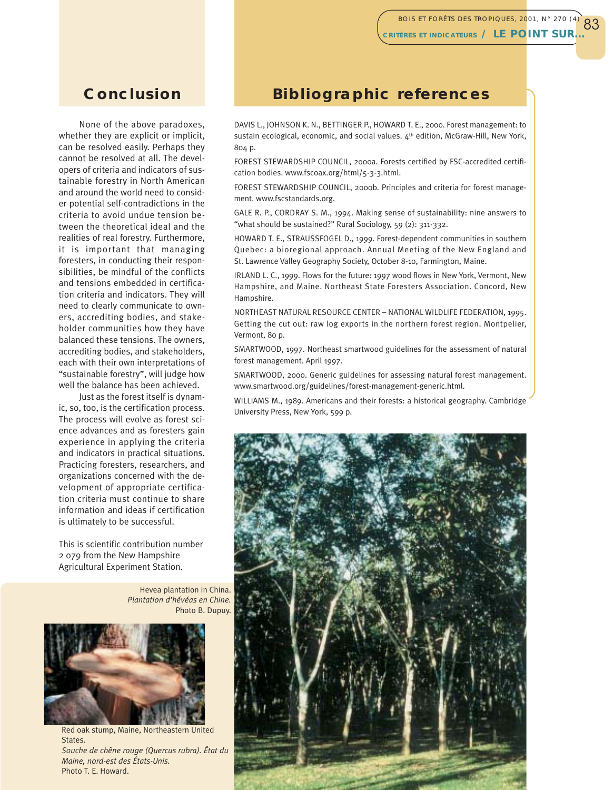BOIS ET FORÊTS DES TROPIQUES, 2001, N° 270 (4)<br>BOIS ET FORÊTS DES TROPIQUES, 2001, N° 270 (4) **CRITÈRES ET INDICATEURS / LE POINT SUR…**

# **Conclusion**

None of the above paradoxes, whether they are explicit or implicit, can be resolved easily. Perhaps they cannot be resolved at all. The developers of criteria and indicators of sustainable forestry in North American and around the world need to consider potential self-contradictions in the criteria to avoid undue tension between the theoretical ideal and the realities of real forestry. Furthermore, it is important that managing foresters, in conducting their responsibilities, be mindful of the conflicts and tensions embedded in certification criteria and indicators. They will need to clearly communicate to owners, accrediting bodies, and stakeholder communities how they have balanced these tensions. The owners, accrediting bodies, and stakeholders, each with their own interpretations of "sustainable forestry", will judge how well the balance has been achieved.

Just as the forest itself is dynamic, so, too, is the certification process. The process will evolve as forest science advances and as foresters gain experience in applying the criteria and indicators in practical situations. Practicing foresters, researchers, and organizations concerned with the development of appropriate certification criteria must continue to share information and ideas if certification is ultimately to be successful.

This is scientific contribution number 2 079 from the New Hampshire Agricultural Experiment Station.

> Hevea plantation in China. *Plantation d'hévéas en Chine.*  Photo B. Dupuy.



Red oak stump, Maine, Northeastern United **States** *Souche de chêne rouge (Quercus rubra). État du Maine, nord-est des États-Unis.*  Photo T. E. Howard.

# **Bibliographic references**

DAVIS L., JOHNSON K. N., BETTINGER P., HOWARD T. E., 2000. Forest management: to sustain ecological, economic, and social values.  $4<sup>th</sup>$  edition, McGraw-Hill, New York, 804 p.

FOREST STEWARDSHIP COUNCIL, 2000a. Forests certified by FSC-accredited certification bodies. www.fscoax.org/html/5-3-3.html.

FOREST STEWARDSHIP COUNCIL, 2000b. Principles and criteria for forest management. www.fscstandards.org.

GALE R. P., CORDRAY S. M., 1994. Making sense of sustainability: nine answers to "what should be sustained?" Rural Sociology, 59 (2): 311-332.

HOWARD T. E., STRAUSSFOGEL D., 1999. Forest-dependent communities in southern Quebec: a bioregional approach. Annual Meeting of the New England and St. Lawrence Valley Geography Society, October 8-10, Farmington, Maine.

IRLAND L. C., 1999. Flows for the future: 1997 wood flows in New York, Vermont, New Hampshire, and Maine. Northeast State Foresters Association. Concord, New Hampshire.

NORTHEAST NATURAL RESOURCE CENTER – NATIONAL WILDLIFE FEDERATION, 1995. Getting the cut out: raw log exports in the northern forest region. Montpelier, Vermont, 80 p.

SMARTWOOD, 1997. Northeast smartwood guidelines for the assessment of natural forest management. April 1997.

SMARTWOOD, 2000. Generic guidelines for assessing natural forest management. www.smartwood.org/guidelines/forest-management-generic.html.

WILLIAMS M., 1989. Americans and their forests: a historical geography. Cambridge University Press, New York, 599 p.